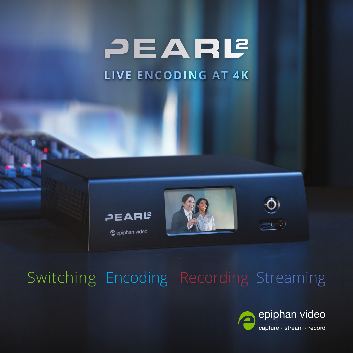PEARL **LIVE ENCODING AT 4K**



epiphan video







 $\Box$   $\odot$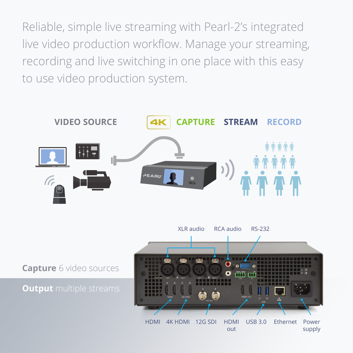Reliable, simple live streaming with Pearl-2's integrated live video production workflow. Manage your streaming, recording and live switching in one place with this easy to use video production system.



**Capture** 6 video sources

#### **Output** multiple streams

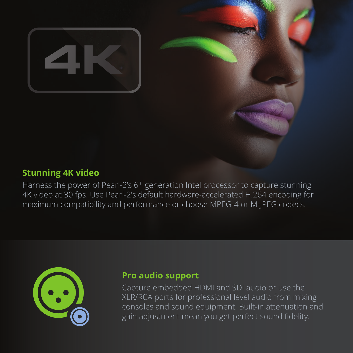

#### **Stunning 4K video**

Harness the power of Pearl-2's 6<sup>th</sup> generation Intel processor to capture stunning 4K video at 30 fps. Use Pearl-2's default hardware-accelerated H.264 encoding for maximum compatibility and performance or choose MPEG-4 or M-JPEG codecs.



#### **Pro audio support**

Capture embedded HDMI and SDI audio or use the XLR/RCA ports for professional level audio from mixing consoles and sound equipment. Built-in attenuation and gain adjustment mean you get perfect sound fidelity.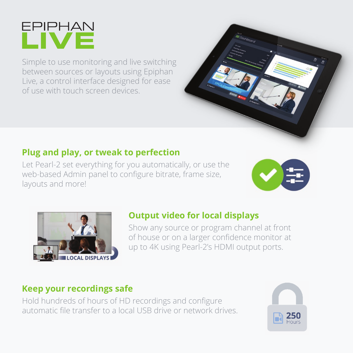

Simple to use monitoring and live switching between sources or layouts using Epiphan Live, a control interface designed for ease of use with touch screen devices.

# **Plug and play, or tweak to perfection**

Let Pearl-2 set everything for you automatically, or use the web-based Admin panel to configure bitrate, frame size, layouts and more!





# **Output video for local displays**

Show any source or program channel at front of house or on a larger confidence monitor at up to 4K using Pearl-2's HDMI output ports.

# **Keep your recordings safe**

Hold hundreds of hours of HD recordings and configure automatic file transfer to a local USB drive or network drives.

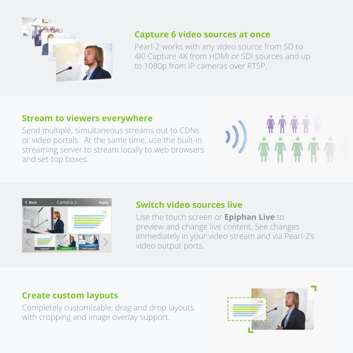

#### **Capture 6 video sources at once**

Pearl-2 works with any video source from SD to 4K! Capture 4K from HDMI or SDI sources and up to 1080p from IP cameras over RTSP.

# **Stream to viewers everywhere**

Send multiple, simultaneous streams out to CDNs or video portals. At the same time, use the built-in streaming server to stream locally to web browsers and set-top boxes.





#### **Switch video sources live**

Use the touch screen or **Epiphan Live** to preview and change live content. See changes immediately in your video stream and via Pearl-2's video output ports.

# **Create custom layouts**

Completely customizable, drag and drop layouts with cropping and image overlay support.